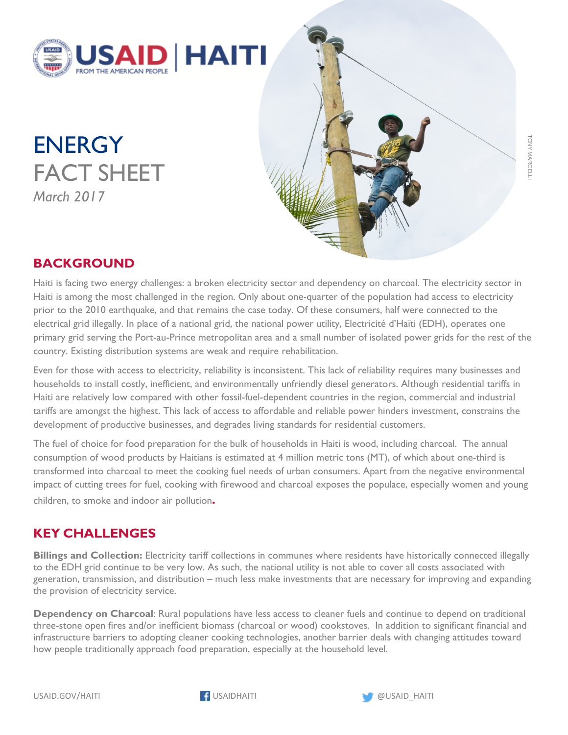

**ENERGY** FACT SHEET *March 2017*



## **BACKGROUND**

Haiti is facing two energy challenges: a broken electricity sector and dependency on charcoal. The electricity sector in Haiti is among the most challenged in the region. Only about one-quarter of the population had access to electricity prior to the 2010 earthquake, and that remains the case today. Of these consumers, half were connected to the electrical grid illegally. In place of a national grid, the national power utility, Electricité d'Haïti (EDH), operates one primary grid serving the Port-au-Prince metropolitan area and a small number of isolated power grids for the rest of the country. Existing distribution systems are weak and require rehabilitation.

Even for those with access to electricity, reliability is inconsistent. This lack of reliability requires many businesses and households to install costly, inefficient, and environmentally unfriendly diesel generators. Although residential tariffs in Haiti are relatively low compared with other fossil-fuel-dependent countries in the region, commercial and industrial tariffs are amongst the highest. This lack of access to affordable and reliable power hinders investment, constrains the development of productive businesses, and degrades living standards for residential customers.

The fuel of choice for food preparation for the bulk of households in Haiti is wood, including charcoal. The annual consumption of wood products by Haitians is estimated at 4 million metric tons (MT), of which about one-third is transformed into charcoal to meet the cooking fuel needs of urban consumers. Apart from the negative environmental impact of cutting trees for fuel, cooking with firewood and charcoal exposes the populace, especially women and young children, to smoke and indoor air pollution**.**

## **KEY CHALLENGES**

**Billings and Collection:** Electricity tariff collections in communes where residents have historically connected illegally to the EDH grid continue to be very low. As such, the national utility is not able to cover all costs associated with generation, transmission, and distribution – much less make investments that are necessary for improving and expanding the provision of electricity service.

**Dependency on Charcoal**: Rural populations have less access to cleaner fuels and continue to depend on traditional three-stone open fires and/or inefficient biomass (charcoal or wood) cookstoves. In addition to significant financial and infrastructure barriers to adopting cleaner cooking technologies, another barrier deals with changing attitudes toward how people traditionally approach food preparation, especially at the household level.